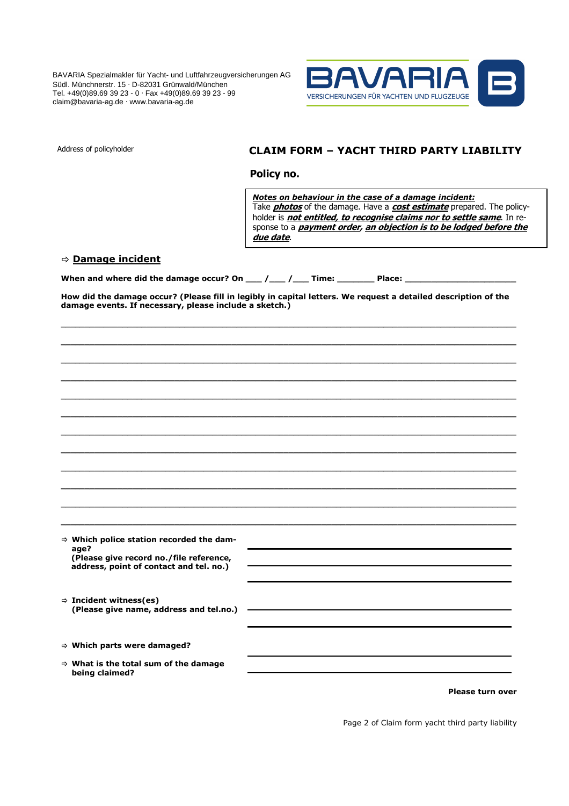BAVARIA Spezialmakler für Yacht- und Luftfahrzeugversicherungen AG Südl. Münchnerstr. 15 ∙ D-82031 Grünwald/München Tel. +49(0)89.69 39 23 - 0 ∙ Fax +49(0)89.69 39 23 - 99 claim@bavaria-ag.de ∙ www.bavaria-ag.de



## Address of policyholder **CLAIM FORM – YACHT THIRD PARTY LIABILITY**

 **Policy no.** 

*Notes on behaviour in the case of a damage incident:*  Take **photos** of the damage. Have a **cost estimate** prepared. The policyholder is **not entitled, to recognise claims nor to settle same**. In response to a **payment order, an objection is to be lodged before the due date**.

## **Damage incident**

When and where did the damage occur? On \_\_\_ /\_\_\_ /\_\_\_ Time: \_\_\_\_\_\_\_\_\_\_\_ Place:

**How did the damage occur? (Please fill in legibly in capital letters. We request a detailed description of the damage events. If necessary, please include a sketch.)** 

**\_\_\_\_\_\_\_\_\_\_\_\_\_\_\_\_\_\_\_\_\_\_\_\_\_\_\_\_\_\_\_\_\_\_\_\_\_\_\_\_\_\_\_\_\_\_\_\_\_\_\_\_\_\_\_\_\_\_\_\_\_\_\_\_\_\_\_\_\_\_\_\_\_\_\_\_\_\_\_\_\_\_\_\_\_\_\_\_\_\_\_\_\_\_\_\_ \_\_\_\_\_\_\_\_\_\_\_\_\_\_\_\_\_\_\_\_\_\_\_\_\_\_\_\_\_\_\_\_\_\_\_\_\_\_\_\_\_\_\_\_\_\_\_\_\_\_\_\_\_\_\_\_\_\_\_\_\_\_\_\_\_\_\_\_\_\_\_\_\_\_\_\_\_\_\_\_\_\_\_\_\_\_\_\_\_\_\_\_\_\_\_\_** 

| → Which police station recorded the dam-<br>age?                                   |  |
|------------------------------------------------------------------------------------|--|
| (Please give record no./file reference,<br>address, point of contact and tel. no.) |  |
|                                                                                    |  |
| $\Rightarrow$ Incident witness(es)<br>(Please give name, address and tel.no.)      |  |
|                                                                                    |  |
| $\Rightarrow$ Which parts were damaged?                                            |  |
| $\Rightarrow$ What is the total sum of the damage<br>being claimed?                |  |

**Please turn over** 

Page 2 of Claim form yacht third party liability